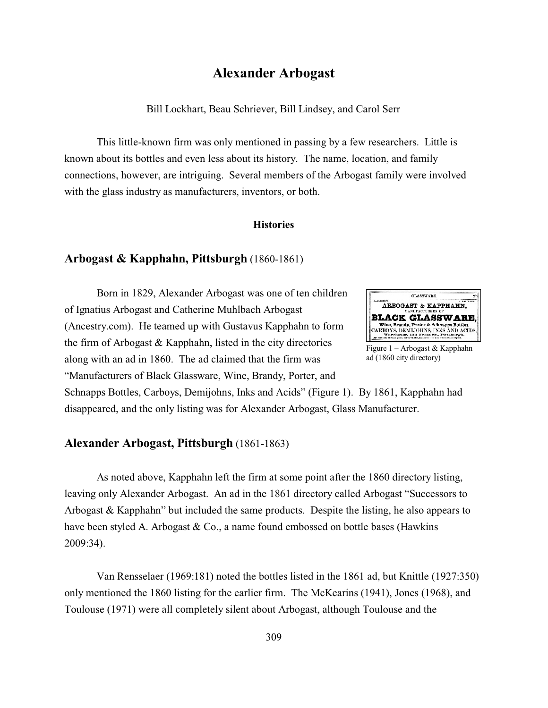# **Alexander Arbogast**

Bill Lockhart, Beau Schriever, Bill Lindsey, and Carol Serr

This little-known firm was only mentioned in passing by a few researchers. Little is known about its bottles and even less about its history. The name, location, and family connections, however, are intriguing. Several members of the Arbogast family were involved with the glass industry as manufacturers, inventors, or both.

#### **Histories**

## **Arbogast & Kapphahn, Pittsburgh** (1860-1861)

Born in 1829, Alexander Arbogast was one of ten children of Ignatius Arbogast and Catherine Muhlbach Arbogast (Ancestry.com). He teamed up with Gustavus Kapphahn to form the firm of Arbogast & Kapphahn, listed in the city directories along with an ad in 1860. The ad claimed that the firm was "Manufacturers of Black Glassware, Wine, Brandy, Porter, and



Figure 1 – Arbogast & Kapphahn ad (1860 city directory)

Schnapps Bottles, Carboys, Demijohns, Inks and Acids" (Figure 1). By 1861, Kapphahn had disappeared, and the only listing was for Alexander Arbogast, Glass Manufacturer.

# **Alexander Arbogast, Pittsburgh** (1861-1863)

As noted above, Kapphahn left the firm at some point after the 1860 directory listing, leaving only Alexander Arbogast. An ad in the 1861 directory called Arbogast "Successors to Arbogast & Kapphahn" but included the same products. Despite the listing, he also appears to have been styled A. Arbogast & Co., a name found embossed on bottle bases (Hawkins 2009:34).

Van Rensselaer (1969:181) noted the bottles listed in the 1861 ad, but Knittle (1927:350) only mentioned the 1860 listing for the earlier firm. The McKearins (1941), Jones (1968), and Toulouse (1971) were all completely silent about Arbogast, although Toulouse and the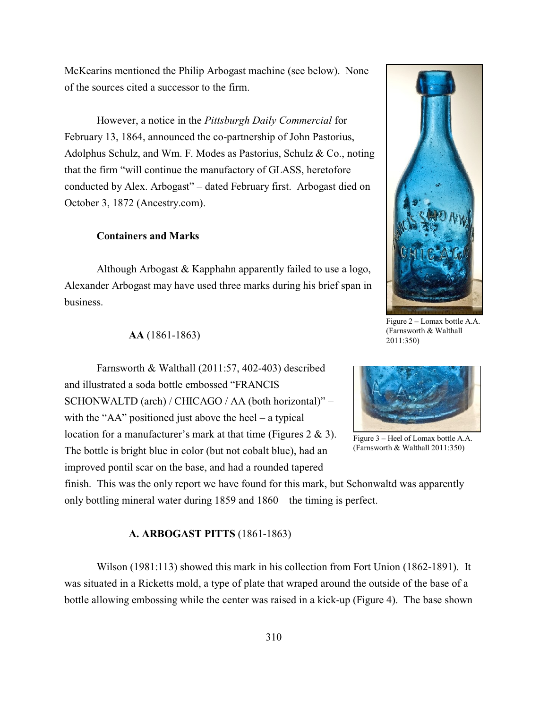McKearins mentioned the Philip Arbogast machine (see below). None of the sources cited a successor to the firm.

However, a notice in the *Pittsburgh Daily Commercial* for February 13, 1864, announced the co-partnership of John Pastorius, Adolphus Schulz, and Wm. F. Modes as Pastorius, Schulz & Co., noting that the firm "will continue the manufactory of GLASS, heretofore conducted by Alex. Arbogast" – dated February first. Arbogast died on October 3, 1872 (Ancestry.com).

## **Containers and Marks**

Although Arbogast & Kapphahn apparently failed to use a logo, Alexander Arbogast may have used three marks during his brief span in business.



Figure 2 – Lomax bottle A.A. (Farnsworth & Walthall 2011:350)

#### **AA** (1861-1863)

Farnsworth & Walthall (2011:57, 402-403) described and illustrated a soda bottle embossed "FRANCIS SCHONWALTD (arch) / CHICAGO / AA (both horizontal)" – with the "AA" positioned just above the heel – a typical location for a manufacturer's mark at that time (Figures 2 & 3). The bottle is bright blue in color (but not cobalt blue), had an improved pontil scar on the base, and had a rounded tapered



Figure 3 – Heel of Lomax bottle A.A. (Farnsworth & Walthall 2011:350)

finish. This was the only report we have found for this mark, but Schonwaltd was apparently only bottling mineral water during 1859 and 1860 – the timing is perfect.

#### **A. ARBOGAST PITTS** (1861-1863)

Wilson (1981:113) showed this mark in his collection from Fort Union (1862-1891). It was situated in a Ricketts mold, a type of plate that wraped around the outside of the base of a bottle allowing embossing while the center was raised in a kick-up (Figure 4). The base shown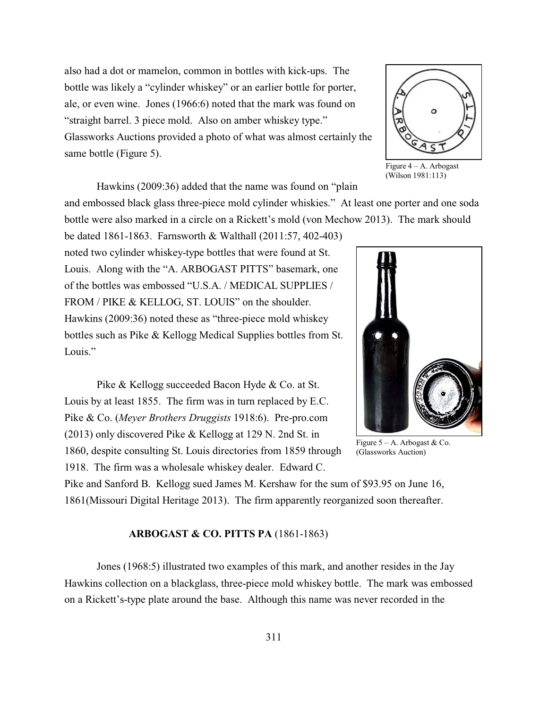also had a dot or mamelon, common in bottles with kick-ups. The bottle was likely a "cylinder whiskey" or an earlier bottle for porter, ale, or even wine. Jones (1966:6) noted that the mark was found on "straight barrel. 3 piece mold. Also on amber whiskey type." Glassworks Auctions provided a photo of what was almost certainly the same bottle (Figure 5).



Figure  $4 - A$ . Arbogast (Wilson 1981:113)

Hawkins (2009:36) added that the name was found on "plain

and embossed black glass three-piece mold cylinder whiskies." At least one porter and one soda bottle were also marked in a circle on a Rickett's mold (von Mechow 2013). The mark should

be dated 1861-1863. Farnsworth & Walthall (2011:57, 402-403) noted two cylinder whiskey-type bottles that were found at St. Louis. Along with the "A. ARBOGAST PITTS" basemark, one of the bottles was embossed "U.S.A. / MEDICAL SUPPLIES / FROM / PIKE & KELLOG, ST. LOUIS" on the shoulder. Hawkins (2009:36) noted these as "three-piece mold whiskey bottles such as Pike & Kellogg Medical Supplies bottles from St. Louis."

Pike & Kellogg succeeded Bacon Hyde & Co. at St. Louis by at least 1855. The firm was in turn replaced by E.C. Pike & Co. (*Meyer Brothers Druggists* 1918:6). Pre-pro.com (2013) only discovered Pike & Kellogg at 129 N. 2nd St. in 1860, despite consulting St. Louis directories from 1859 through 1918. The firm was a wholesale whiskey dealer. Edward C.

Pike and Sanford B. Kellogg sued James M. Kershaw for the sum of \$93.95 on June 16, 1861(Missouri Digital Heritage 2013). The firm apparently reorganized soon thereafter.

#### **ARBOGAST & CO. PITTS PA** (1861-1863)

Jones (1968:5) illustrated two examples of this mark, and another resides in the Jay Hawkins collection on a blackglass, three-piece mold whiskey bottle. The mark was embossed on a Rickett's-type plate around the base. Although this name was never recorded in the



Figure  $5 - A$ . Arbogast & Co. (Glassworks Auction)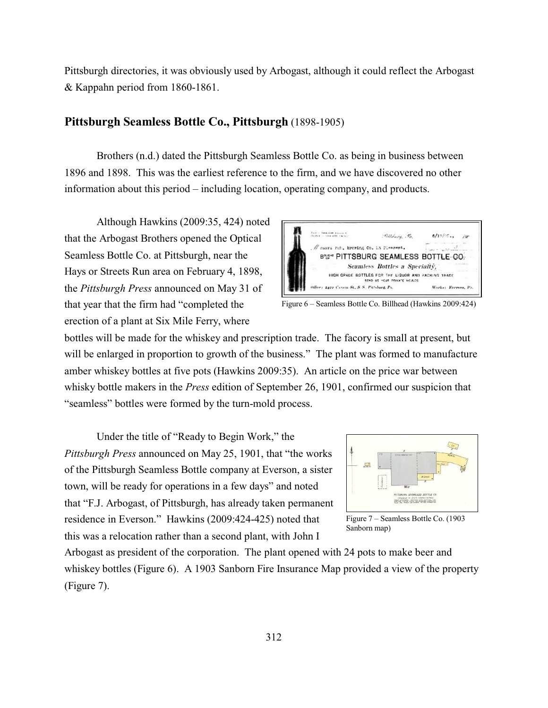Pittsburgh directories, it was obviously used by Arbogast, although it could reflect the Arbogast & Kappahn period from 1860-1861.

# **Pittsburgh Seamless Bottle Co., Pittsburgh** (1898-1905)

Brothers (n.d.) dated the Pittsburgh Seamless Bottle Co. as being in business between 1896 and 1898. This was the earliest reference to the firm, and we have discovered no other information about this period – including location, operating company, and products.

Although Hawkins (2009:35, 424) noted that the Arbogast Brothers opened the Optical Seamless Bottle Co. at Pittsburgh, near the Hays or Streets Run area on February 4, 1898, the *Pittsburgh Press* announced on May 31 of that year that the firm had "completed the erection of a plant at Six Mile Ferry, where



Figure 6 – Seamless Bottle Co. Billhead (Hawkins 2009:424)

bottles will be made for the whiskey and prescription trade. The facory is small at present, but will be enlarged in proportion to growth of the business." The plant was formed to manufacture amber whiskey bottles at five pots (Hawkins 2009:35). An article on the price war between whisky bottle makers in the *Press* edition of September 26, 1901, confirmed our suspicion that "seamless" bottles were formed by the turn-mold process.

Under the title of "Ready to Begin Work," the *Pittsburgh Press* announced on May 25, 1901, that "the works of the Pittsburgh Seamless Bottle company at Everson, a sister town, will be ready for operations in a few days" and noted that "F.J. Arbogast, of Pittsburgh, has already taken permanent residence in Everson." Hawkins (2009:424-425) noted that this was a relocation rather than a second plant, with John I



Figure 7 – Seamless Bottle Co. (1903 Sanborn map)

Arbogast as president of the corporation. The plant opened with 24 pots to make beer and whiskey bottles (Figure 6). A 1903 Sanborn Fire Insurance Map provided a view of the property (Figure 7).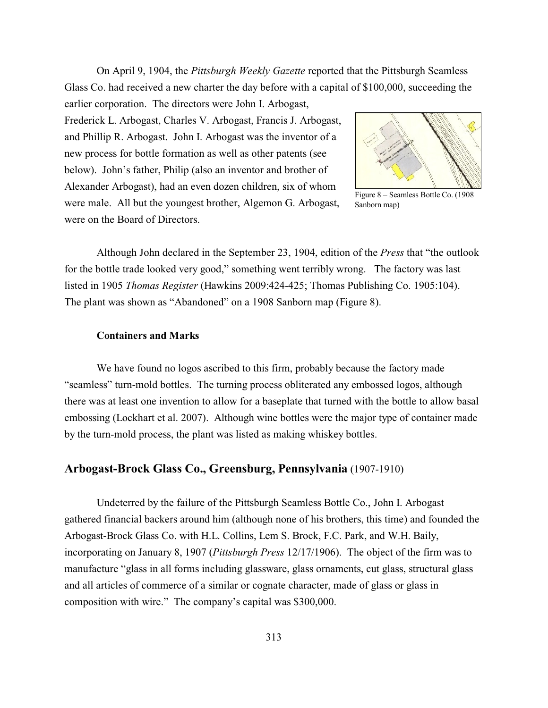On April 9, 1904, the *Pittsburgh Weekly Gazette* reported that the Pittsburgh Seamless Glass Co. had received a new charter the day before with a capital of \$100,000, succeeding the earlier corporation. The directors were John I. Arbogast,

Frederick L. Arbogast, Charles V. Arbogast, Francis J. Arbogast, and Phillip R. Arbogast. John I. Arbogast was the inventor of a new process for bottle formation as well as other patents (see below). John's father, Philip (also an inventor and brother of Alexander Arbogast), had an even dozen children, six of whom were male. All but the youngest brother, Algemon G. Arbogast, were on the Board of Directors.



Figure 8 – Seamless Bottle Co. (1908 Sanborn map)

Although John declared in the September 23, 1904, edition of the *Press* that "the outlook for the bottle trade looked very good," something went terribly wrong. The factory was last listed in 1905 *Thomas Register* (Hawkins 2009:424-425; Thomas Publishing Co. 1905:104). The plant was shown as "Abandoned" on a 1908 Sanborn map (Figure 8).

#### **Containers and Marks**

We have found no logos ascribed to this firm, probably because the factory made "seamless" turn-mold bottles. The turning process obliterated any embossed logos, although there was at least one invention to allow for a baseplate that turned with the bottle to allow basal embossing (Lockhart et al. 2007). Although wine bottles were the major type of container made by the turn-mold process, the plant was listed as making whiskey bottles.

# **Arbogast-Brock Glass Co., Greensburg, Pennsylvania** (1907-1910)

Undeterred by the failure of the Pittsburgh Seamless Bottle Co., John I. Arbogast gathered financial backers around him (although none of his brothers, this time) and founded the Arbogast-Brock Glass Co. with H.L. Collins, Lem S. Brock, F.C. Park, and W.H. Baily, incorporating on January 8, 1907 (*Pittsburgh Press* 12/17/1906). The object of the firm was to manufacture "glass in all forms including glassware, glass ornaments, cut glass, structural glass and all articles of commerce of a similar or cognate character, made of glass or glass in composition with wire." The company's capital was \$300,000.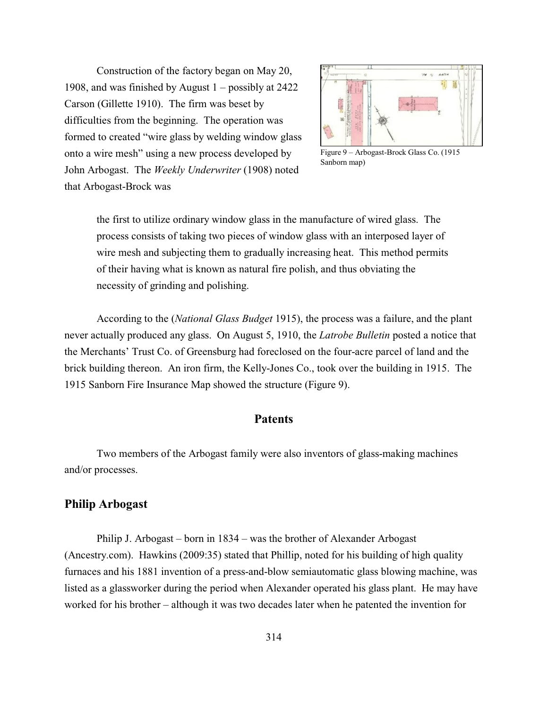Construction of the factory began on May 20, 1908, and was finished by August 1 – possibly at 2422 Carson (Gillette 1910). The firm was beset by difficulties from the beginning. The operation was formed to created "wire glass by welding window glass onto a wire mesh" using a new process developed by John Arbogast. The *Weekly Underwriter* (1908) noted that Arbogast-Brock was



Figure 9 – Arbogast-Brock Glass Co. (1915 Sanborn map)

the first to utilize ordinary window glass in the manufacture of wired glass. The process consists of taking two pieces of window glass with an interposed layer of wire mesh and subjecting them to gradually increasing heat. This method permits of their having what is known as natural fire polish, and thus obviating the necessity of grinding and polishing.

According to the (*National Glass Budget* 1915), the process was a failure, and the plant never actually produced any glass. On August 5, 1910, the *Latrobe Bulletin* posted a notice that the Merchants' Trust Co. of Greensburg had foreclosed on the four-acre parcel of land and the brick building thereon. An iron firm, the Kelly-Jones Co., took over the building in 1915. The 1915 Sanborn Fire Insurance Map showed the structure (Figure 9).

# **Patents**

Two members of the Arbogast family were also inventors of glass-making machines and/or processes.

# **Philip Arbogast**

Philip J. Arbogast – born in 1834 – was the brother of Alexander Arbogast (Ancestry.com). Hawkins (2009:35) stated that Phillip, noted for his building of high quality furnaces and his 1881 invention of a press-and-blow semiautomatic glass blowing machine, was listed as a glassworker during the period when Alexander operated his glass plant. He may have worked for his brother – although it was two decades later when he patented the invention for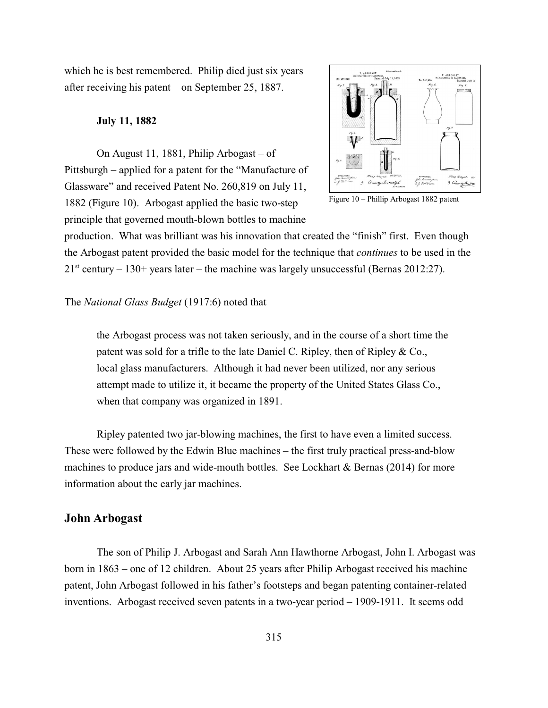which he is best remembered. Philip died just six years after receiving his patent – on September 25, 1887.

#### **July 11, 1882**

On August 11, 1881, Philip Arbogast – of Pittsburgh – applied for a patent for the "Manufacture of Glassware" and received Patent No. 260,819 on July 11, 1882 (Figure 10). Arbogast applied the basic two-step principle that governed mouth-blown bottles to machine



Figure 10 – Phillip Arbogast 1882 patent

production. What was brilliant was his innovation that created the "finish" first. Even though the Arbogast patent provided the basic model for the technique that *continues* to be used in the  $21<sup>st</sup>$  century  $-130+$  years later  $-$  the machine was largely unsuccessful (Bernas 2012:27).

#### The *National Glass Budget* (1917:6) noted that

the Arbogast process was not taken seriously, and in the course of a short time the patent was sold for a trifle to the late Daniel C. Ripley, then of Ripley & Co., local glass manufacturers. Although it had never been utilized, nor any serious attempt made to utilize it, it became the property of the United States Glass Co., when that company was organized in 1891.

Ripley patented two jar-blowing machines, the first to have even a limited success. These were followed by the Edwin Blue machines – the first truly practical press-and-blow machines to produce jars and wide-mouth bottles. See Lockhart & Bernas (2014) for more information about the early jar machines.

## **John Arbogast**

The son of Philip J. Arbogast and Sarah Ann Hawthorne Arbogast, John I. Arbogast was born in 1863 – one of 12 children. About 25 years after Philip Arbogast received his machine patent, John Arbogast followed in his father's footsteps and began patenting container-related inventions. Arbogast received seven patents in a two-year period – 1909-1911. It seems odd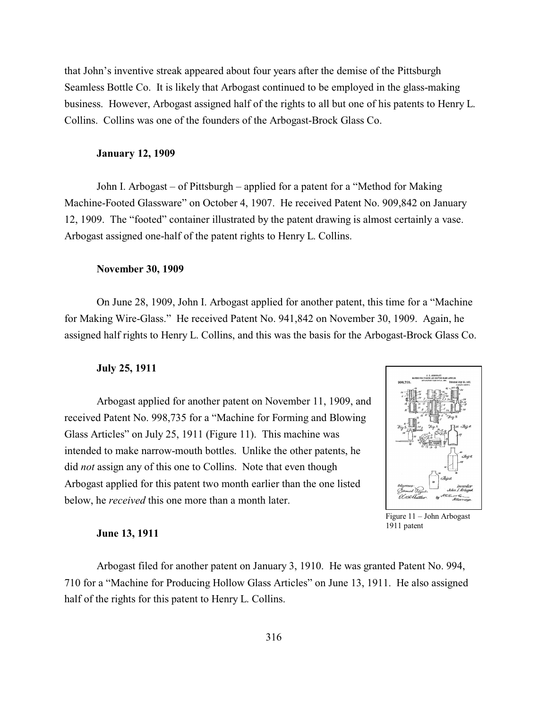that John's inventive streak appeared about four years after the demise of the Pittsburgh Seamless Bottle Co. It is likely that Arbogast continued to be employed in the glass-making business. However, Arbogast assigned half of the rights to all but one of his patents to Henry L. Collins. Collins was one of the founders of the Arbogast-Brock Glass Co.

#### **January 12, 1909**

John I. Arbogast – of Pittsburgh – applied for a patent for a "Method for Making Machine-Footed Glassware" on October 4, 1907. He received Patent No. 909,842 on January 12, 1909. The "footed" container illustrated by the patent drawing is almost certainly a vase. Arbogast assigned one-half of the patent rights to Henry L. Collins.

#### **November 30, 1909**

On June 28, 1909, John I. Arbogast applied for another patent, this time for a "Machine for Making Wire-Glass." He received Patent No. 941,842 on November 30, 1909. Again, he assigned half rights to Henry L. Collins, and this was the basis for the Arbogast-Brock Glass Co.

#### **July 25, 1911**

Arbogast applied for another patent on November 11, 1909, and received Patent No. 998,735 for a "Machine for Forming and Blowing Glass Articles" on July 25, 1911 (Figure 11). This machine was intended to make narrow-mouth bottles. Unlike the other patents, he did *not* assign any of this one to Collins. Note that even though Arbogast applied for this patent two month earlier than the one listed below, he *received* this one more than a month later.



Figure 11 – John Arbogast 1911 patent

#### **June 13, 1911**

Arbogast filed for another patent on January 3, 1910. He was granted Patent No. 994, 710 for a "Machine for Producing Hollow Glass Articles" on June 13, 1911. He also assigned half of the rights for this patent to Henry L. Collins.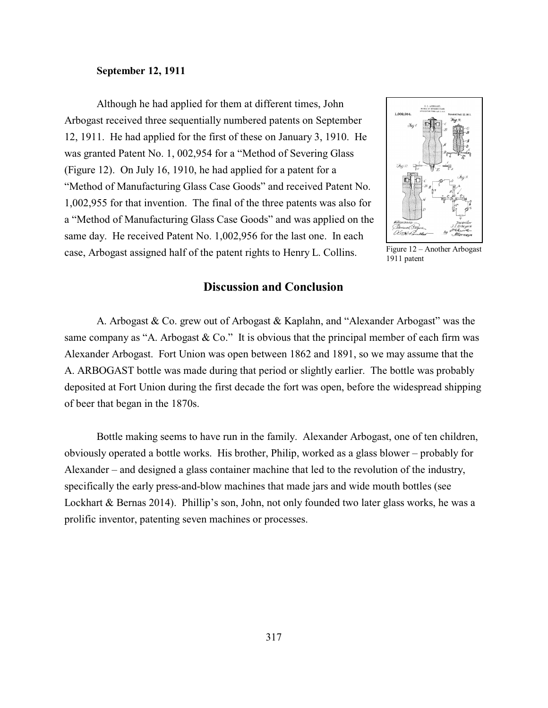#### **September 12, 1911**

Although he had applied for them at different times, John Arbogast received three sequentially numbered patents on September 12, 1911. He had applied for the first of these on January 3, 1910. He was granted Patent No. 1, 002,954 for a "Method of Severing Glass (Figure 12). On July 16, 1910, he had applied for a patent for a "Method of Manufacturing Glass Case Goods" and received Patent No. 1,002,955 for that invention. The final of the three patents was also for a "Method of Manufacturing Glass Case Goods" and was applied on the same day. He received Patent No. 1,002,956 for the last one. In each case, Arbogast assigned half of the patent rights to Henry L. Collins.



Figure 12 – Another Arbogast 1911 patent

# **Discussion and Conclusion**

A. Arbogast & Co. grew out of Arbogast & Kaplahn, and "Alexander Arbogast" was the same company as "A. Arbogast  $& Co."$  It is obvious that the principal member of each firm was Alexander Arbogast. Fort Union was open between 1862 and 1891, so we may assume that the A. ARBOGAST bottle was made during that period or slightly earlier. The bottle was probably deposited at Fort Union during the first decade the fort was open, before the widespread shipping of beer that began in the 1870s.

Bottle making seems to have run in the family. Alexander Arbogast, one of ten children, obviously operated a bottle works. His brother, Philip, worked as a glass blower – probably for Alexander – and designed a glass container machine that led to the revolution of the industry, specifically the early press-and-blow machines that made jars and wide mouth bottles (see Lockhart & Bernas 2014). Phillip's son, John, not only founded two later glass works, he was a prolific inventor, patenting seven machines or processes.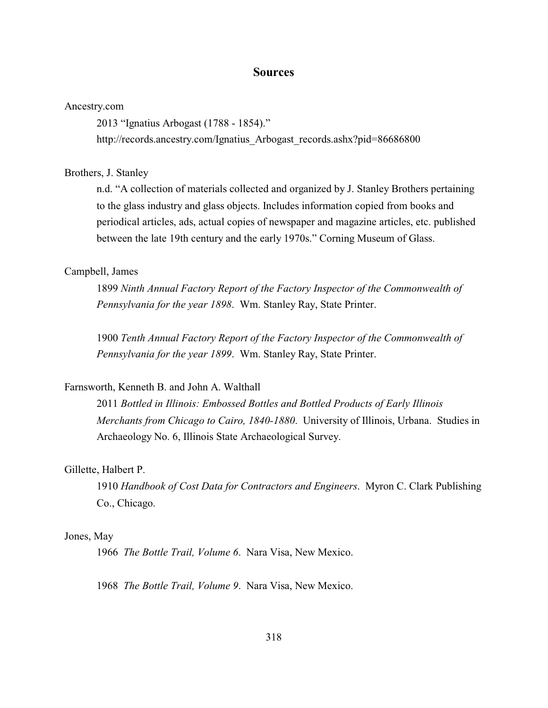## **Sources**

#### Ancestry.com

2013 "Ignatius Arbogast (1788 - 1854)."

http://records.ancestry.com/Ignatius\_Arbogast\_records.ashx?pid=86686800

#### Brothers, J. Stanley

n.d. "A collection of materials collected and organized by J. Stanley Brothers pertaining to the glass industry and glass objects. Includes information copied from books and periodical articles, ads, actual copies of newspaper and magazine articles, etc. published between the late 19th century and the early 1970s." Corning Museum of Glass.

## Campbell, James

1899 *Ninth Annual Factory Report of the Factory Inspector of the Commonwealth of Pennsylvania for the year 1898*. Wm. Stanley Ray, State Printer.

1900 *Tenth Annual Factory Report of the Factory Inspector of the Commonwealth of Pennsylvania for the year 1899*. Wm. Stanley Ray, State Printer.

## Farnsworth, Kenneth B. and John A. Walthall

2011 *Bottled in Illinois: Embossed Bottles and Bottled Products of Early Illinois Merchants from Chicago to Cairo, 1840-1880*. University of Illinois, Urbana. Studies in Archaeology No. 6, Illinois State Archaeological Survey.

#### Gillette, Halbert P.

1910 *Handbook of Cost Data for Contractors and Engineers*. Myron C. Clark Publishing Co., Chicago.

#### Jones, May

1966 *The Bottle Trail, Volume 6*. Nara Visa, New Mexico.

1968 *The Bottle Trail, Volume 9*. Nara Visa, New Mexico.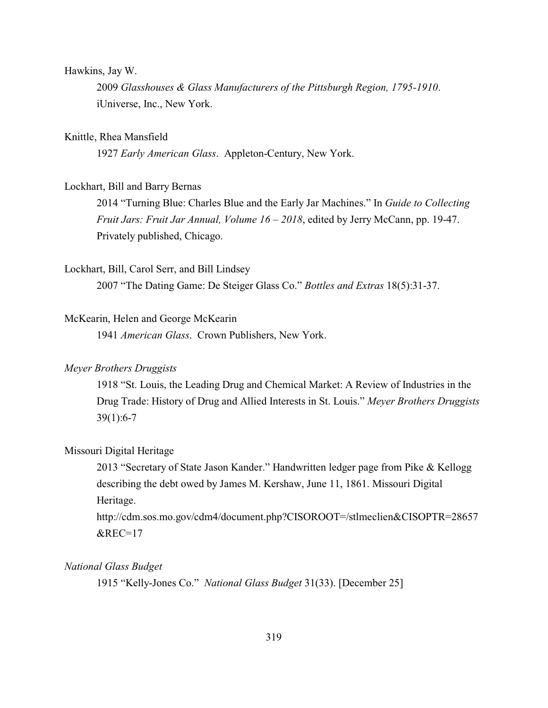#### Hawkins, Jay W.

2009 *Glasshouses & Glass Manufacturers of the Pittsburgh Region, 1795-1910*. iUniverse, Inc., New York.

## Knittle, Rhea Mansfield

1927 *Early American Glass*. Appleton-Century, New York.

## Lockhart, Bill and Barry Bernas

2014 "Turning Blue: Charles Blue and the Early Jar Machines." In *Guide to Collecting Fruit Jars: Fruit Jar Annual, Volume 16 – 2018*, edited by Jerry McCann, pp. 19-47. Privately published, Chicago.

#### Lockhart, Bill, Carol Serr, and Bill Lindsey

2007 "The Dating Game: De Steiger Glass Co." *Bottles and Extras* 18(5):31-37.

## McKearin, Helen and George McKearin

1941 *American Glass*. Crown Publishers, New York.

## *Meyer Brothers Druggists*

1918 "St. Louis, the Leading Drug and Chemical Market: A Review of Industries in the Drug Trade: History of Drug and Allied Interests in St. Louis." *Meyer Brothers Druggists* 39(1):6-7

#### Missouri Digital Heritage

2013 "Secretary of State Jason Kander." Handwritten ledger page from Pike & Kellogg describing the debt owed by James M. Kershaw, June 11, 1861. Missouri Digital Heritage.

http://cdm.sos.mo.gov/cdm4/document.php?CISOROOT=/stlmeclien&CISOPTR=28657  $\&$ REC=17

## *National Glass Budget*

1915 "Kelly-Jones Co." *National Glass Budget* 31(33). [December 25]